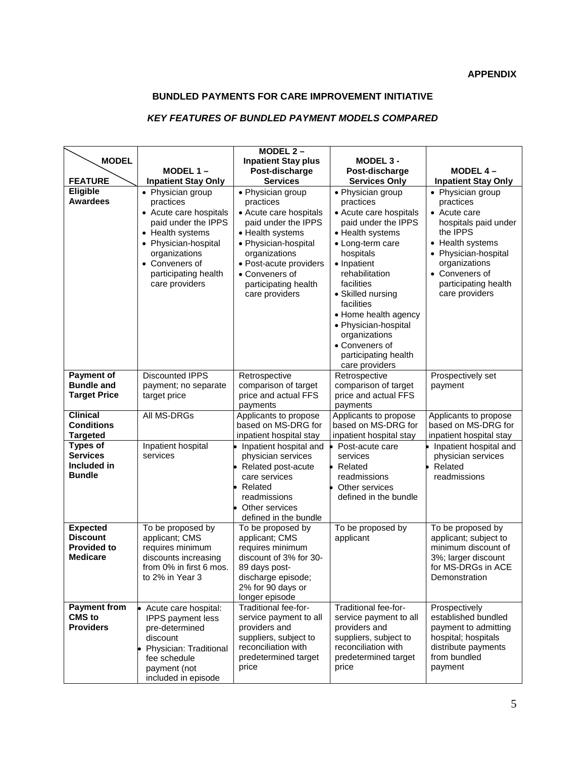## **BUNDLED PAYMENTS FOR CARE IMPROVEMENT INITIATIVE**

## *KEY FEATURES OF BUNDLED PAYMENT MODELS COMPARED*

| <b>MODEL</b>                       |                                                                                                                                                                                                          | MODEL $2-$<br><b>Inpatient Stay plus</b>                                                                                                                                                                                           | MODEL 3 -                                                                                                                                                                                                                                                                                                                                           |                                                                                                                                                                                                             |
|------------------------------------|----------------------------------------------------------------------------------------------------------------------------------------------------------------------------------------------------------|------------------------------------------------------------------------------------------------------------------------------------------------------------------------------------------------------------------------------------|-----------------------------------------------------------------------------------------------------------------------------------------------------------------------------------------------------------------------------------------------------------------------------------------------------------------------------------------------------|-------------------------------------------------------------------------------------------------------------------------------------------------------------------------------------------------------------|
|                                    | MODEL $1 -$                                                                                                                                                                                              | Post-discharge                                                                                                                                                                                                                     | Post-discharge                                                                                                                                                                                                                                                                                                                                      | MODEL $4-$                                                                                                                                                                                                  |
| <b>FEATURE</b>                     | <b>Inpatient Stay Only</b>                                                                                                                                                                               | <b>Services</b>                                                                                                                                                                                                                    | <b>Services Only</b>                                                                                                                                                                                                                                                                                                                                | <b>Inpatient Stay Only</b>                                                                                                                                                                                  |
| Eligible<br><b>Awardees</b>        | • Physician group<br>practices<br>• Acute care hospitals<br>paid under the IPPS<br>• Health systems<br>• Physician-hospital<br>organizations<br>• Conveners of<br>participating health<br>care providers | • Physician group<br>practices<br>• Acute care hospitals<br>paid under the IPPS<br>• Health systems<br>• Physician-hospital<br>organizations<br>• Post-acute providers<br>• Conveners of<br>participating health<br>care providers | • Physician group<br>practices<br>• Acute care hospitals<br>paid under the IPPS<br>• Health systems<br>• Long-term care<br>hospitals<br>• Inpatient<br>rehabilitation<br>facilities<br>• Skilled nursing<br>facilities<br>• Home health agency<br>• Physician-hospital<br>organizations<br>• Conveners of<br>participating health<br>care providers | • Physician group<br>practices<br>• Acute care<br>hospitals paid under<br>the IPPS<br>• Health systems<br>• Physician-hospital<br>organizations<br>• Conveners of<br>participating health<br>care providers |
| <b>Payment of</b>                  | <b>Discounted IPPS</b>                                                                                                                                                                                   | Retrospective                                                                                                                                                                                                                      | Retrospective                                                                                                                                                                                                                                                                                                                                       | Prospectively set                                                                                                                                                                                           |
| <b>Bundle and</b>                  | payment; no separate                                                                                                                                                                                     | comparison of target                                                                                                                                                                                                               | comparison of target                                                                                                                                                                                                                                                                                                                                | payment                                                                                                                                                                                                     |
| <b>Target Price</b>                | target price                                                                                                                                                                                             | price and actual FFS                                                                                                                                                                                                               | price and actual FFS                                                                                                                                                                                                                                                                                                                                |                                                                                                                                                                                                             |
|                                    |                                                                                                                                                                                                          | payments                                                                                                                                                                                                                           | payments                                                                                                                                                                                                                                                                                                                                            |                                                                                                                                                                                                             |
| <b>Clinical</b>                    | All MS-DRGs                                                                                                                                                                                              | Applicants to propose                                                                                                                                                                                                              | Applicants to propose                                                                                                                                                                                                                                                                                                                               | Applicants to propose                                                                                                                                                                                       |
| <b>Conditions</b>                  |                                                                                                                                                                                                          | based on MS-DRG for                                                                                                                                                                                                                | based on MS-DRG for                                                                                                                                                                                                                                                                                                                                 | based on MS-DRG for                                                                                                                                                                                         |
| <b>Targeted</b><br><b>Types of</b> |                                                                                                                                                                                                          | inpatient hospital stay                                                                                                                                                                                                            | inpatient hospital stay                                                                                                                                                                                                                                                                                                                             | inpatient hospital stay                                                                                                                                                                                     |
| <b>Services</b>                    | Inpatient hospital<br>services                                                                                                                                                                           | Inpatient hospital and<br>physician services                                                                                                                                                                                       | Post-acute care                                                                                                                                                                                                                                                                                                                                     | Inpatient hospital and<br>physician services                                                                                                                                                                |
| Included in                        |                                                                                                                                                                                                          | Related post-acute                                                                                                                                                                                                                 | services<br>Related                                                                                                                                                                                                                                                                                                                                 | Related                                                                                                                                                                                                     |
| <b>Bundle</b>                      |                                                                                                                                                                                                          | care services                                                                                                                                                                                                                      | readmissions                                                                                                                                                                                                                                                                                                                                        | readmissions                                                                                                                                                                                                |
|                                    |                                                                                                                                                                                                          | Related                                                                                                                                                                                                                            | Other services                                                                                                                                                                                                                                                                                                                                      |                                                                                                                                                                                                             |
|                                    |                                                                                                                                                                                                          | readmissions                                                                                                                                                                                                                       | defined in the bundle                                                                                                                                                                                                                                                                                                                               |                                                                                                                                                                                                             |
|                                    |                                                                                                                                                                                                          | Other services                                                                                                                                                                                                                     |                                                                                                                                                                                                                                                                                                                                                     |                                                                                                                                                                                                             |
|                                    |                                                                                                                                                                                                          | defined in the bundle                                                                                                                                                                                                              |                                                                                                                                                                                                                                                                                                                                                     |                                                                                                                                                                                                             |
| <b>Expected</b>                    | To be proposed by                                                                                                                                                                                        | To be proposed by                                                                                                                                                                                                                  | To be proposed by                                                                                                                                                                                                                                                                                                                                   | To be proposed by                                                                                                                                                                                           |
| <b>Discount</b>                    | applicant; CMS                                                                                                                                                                                           | applicant; CMS                                                                                                                                                                                                                     | applicant                                                                                                                                                                                                                                                                                                                                           | applicant; subject to                                                                                                                                                                                       |
| <b>Provided to</b>                 | requires minimum                                                                                                                                                                                         | requires minimum                                                                                                                                                                                                                   |                                                                                                                                                                                                                                                                                                                                                     | minimum discount of                                                                                                                                                                                         |
| <b>Medicare</b>                    | discounts increasing                                                                                                                                                                                     | discount of 3% for 30-                                                                                                                                                                                                             |                                                                                                                                                                                                                                                                                                                                                     | 3%; larger discount                                                                                                                                                                                         |
|                                    | from 0% in first 6 mos.                                                                                                                                                                                  | 89 days post-                                                                                                                                                                                                                      |                                                                                                                                                                                                                                                                                                                                                     | for MS-DRGs in ACE                                                                                                                                                                                          |
|                                    | to 2% in Year 3                                                                                                                                                                                          | discharge episode;                                                                                                                                                                                                                 |                                                                                                                                                                                                                                                                                                                                                     | Demonstration                                                                                                                                                                                               |
|                                    |                                                                                                                                                                                                          | 2% for 90 days or<br>longer episode                                                                                                                                                                                                |                                                                                                                                                                                                                                                                                                                                                     |                                                                                                                                                                                                             |
| <b>Payment from</b>                | Acute care hospital:                                                                                                                                                                                     | Traditional fee-for-                                                                                                                                                                                                               | Traditional fee-for-                                                                                                                                                                                                                                                                                                                                | Prospectively                                                                                                                                                                                               |
| <b>CMS</b> to                      | <b>IPPS</b> payment less                                                                                                                                                                                 | service payment to all                                                                                                                                                                                                             | service payment to all                                                                                                                                                                                                                                                                                                                              | established bundled                                                                                                                                                                                         |
| <b>Providers</b>                   | pre-determined                                                                                                                                                                                           | providers and                                                                                                                                                                                                                      | providers and                                                                                                                                                                                                                                                                                                                                       | payment to admitting                                                                                                                                                                                        |
|                                    | discount                                                                                                                                                                                                 | suppliers, subject to                                                                                                                                                                                                              | suppliers, subject to                                                                                                                                                                                                                                                                                                                               | hospital; hospitals                                                                                                                                                                                         |
|                                    | Physician: Traditional                                                                                                                                                                                   | reconciliation with                                                                                                                                                                                                                | reconciliation with                                                                                                                                                                                                                                                                                                                                 | distribute payments                                                                                                                                                                                         |
|                                    | fee schedule                                                                                                                                                                                             | predetermined target                                                                                                                                                                                                               | predetermined target                                                                                                                                                                                                                                                                                                                                | from bundled                                                                                                                                                                                                |
|                                    | payment (not                                                                                                                                                                                             | price                                                                                                                                                                                                                              | price                                                                                                                                                                                                                                                                                                                                               | payment                                                                                                                                                                                                     |
|                                    | included in episode                                                                                                                                                                                      |                                                                                                                                                                                                                                    |                                                                                                                                                                                                                                                                                                                                                     |                                                                                                                                                                                                             |